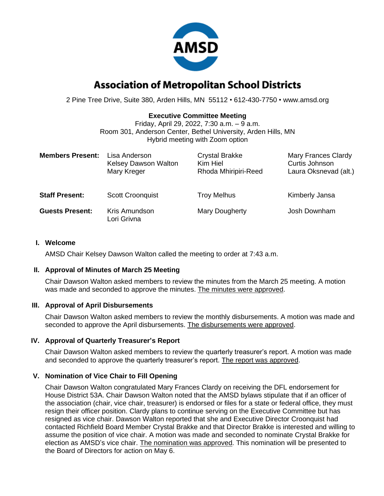

# **Association of Metropolitan School Districts**

2 Pine Tree Drive, Suite 380, Arden Hills, MN 55112 • 612-430-7750 • www.amsd.org

## **Executive Committee Meeting**

Friday, April 29, 2022, 7:30 a.m. – 9 a.m. Room 301, Anderson Center, Bethel University, Arden Hills, MN Hybrid meeting with Zoom option

| <b>Members Present:</b> | Lisa Anderson<br><b>Kelsey Dawson Walton</b><br>Mary Kreger | <b>Crystal Brakke</b><br>Kim Hiel<br>Rhoda Mhiripiri-Reed | <b>Mary Frances Clardy</b><br>Curtis Johnson<br>Laura Oksnevad (alt.) |
|-------------------------|-------------------------------------------------------------|-----------------------------------------------------------|-----------------------------------------------------------------------|
| <b>Staff Present:</b>   | <b>Scott Croonquist</b>                                     | <b>Troy Melhus</b>                                        | Kimberly Jansa                                                        |
| <b>Guests Present:</b>  | Kris Amundson<br>Lori Grivna                                | Mary Dougherty                                            | Josh Downham                                                          |

#### **I. Welcome**

AMSD Chair Kelsey Dawson Walton called the meeting to order at 7:43 a.m.

### **II. Approval of Minutes of March 25 Meeting**

Chair Dawson Walton asked members to review the minutes from the March 25 meeting. A motion was made and seconded to approve the minutes. The minutes were approved.

### **III. Approval of April Disbursements**

Chair Dawson Walton asked members to review the monthly disbursements. A motion was made and seconded to approve the April disbursements. The disbursements were approved.

### **IV. Approval of Quarterly Treasurer's Report**

Chair Dawson Walton asked members to review the quarterly treasurer's report. A motion was made and seconded to approve the quarterly treasurer's report. The report was approved.

### **V. Nomination of Vice Chair to Fill Opening**

Chair Dawson Walton congratulated Mary Frances Clardy on receiving the DFL endorsement for House District 53A. Chair Dawson Walton noted that the AMSD bylaws stipulate that if an officer of the association (chair, vice chair, treasurer) is endorsed or files for a state or federal office, they must resign their officer position. Clardy plans to continue serving on the Executive Committee but has resigned as vice chair. Dawson Walton reported that she and Executive Director Croonquist had contacted Richfield Board Member Crystal Brakke and that Director Brakke is interested and willing to assume the position of vice chair. A motion was made and seconded to nominate Crystal Brakke for election as AMSD's vice chair. The nomination was approved. This nomination will be presented to the Board of Directors for action on May 6.